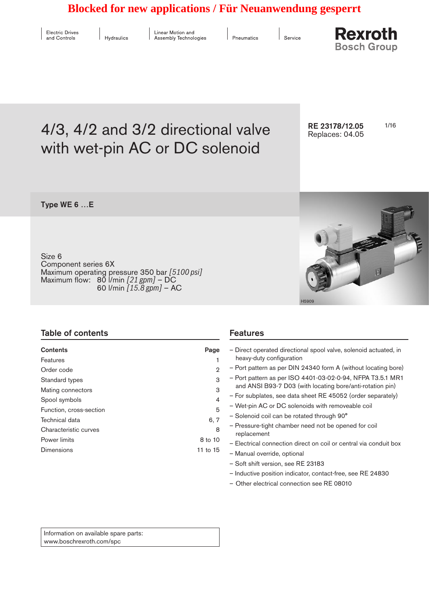# **Blocked for new applications / Für Neuanwendung gesperrt**

| <b>Electric Drives</b> |  |
|------------------------|--|
| and Controls           |  |

 $\parallel$  Hydraulics

Linear Motion and Assembly Technologies

Pneumatics

Service

**Rexroth Bosch Group** 

# 4/3, 4/2 and 3/2 directional valve RE 23178/12.05 1/16 with wet-pin AC or DC solenoid

RE 23178/12.05 Replaces: 04.05

Type WE 6 …E

Size 6 Component series 6X Maximum operating pressure 350 bar *[5100 psi]* Maximum flow: 80 l/min *[21 gpm]* – DC 60 l/min *[15.8 gpm]* – AC



H5909

| Table of contents       |                | <b>Features</b>                                                   |  |  |
|-------------------------|----------------|-------------------------------------------------------------------|--|--|
| <b>Contents</b>         | Page           | - Direct operated directional spool valve, solenoid actuated, in  |  |  |
| Features                |                | heavy-duty configuration                                          |  |  |
| Order code              | $\mathfrak{D}$ | - Port pattern as per DIN 24340 form A (without locating bore)    |  |  |
| Standard types          | 3              | - Port pattern as per ISO 4401-03-02-0-94, NFPA T3.5.1 MR1        |  |  |
| Mating connectors       | 3              | and ANSI B93-7 D03 (with locating bore/anti-rotation pin)         |  |  |
| Spool symbols           | 4              | - For subplates, see data sheet RE 45052 (order separately)       |  |  |
| Function, cross-section | 5              | - Wet-pin AC or DC solenoids with removeable coil                 |  |  |
| Technical data          | 6, 7           | - Solenoid coil can be rotated through 90°                        |  |  |
|                         |                | - Pressure-tight chamber need not be opened for coil              |  |  |
| Characteristic curves   | 8              | replacement                                                       |  |  |
| Power limits            | 8 to 10        | - Electrical connection direct on coil or central via conduit box |  |  |
| Dimensions              | 11 to 15       |                                                                   |  |  |
|                         |                | - Manual override, optional                                       |  |  |
|                         |                | - Soft shift version, see RE 23183                                |  |  |

- Inductive position indicator, contact-free, see RE 24830
- Other electrical connection see RE 08010

Information on available spare parts: www.boschrexroth.com/spc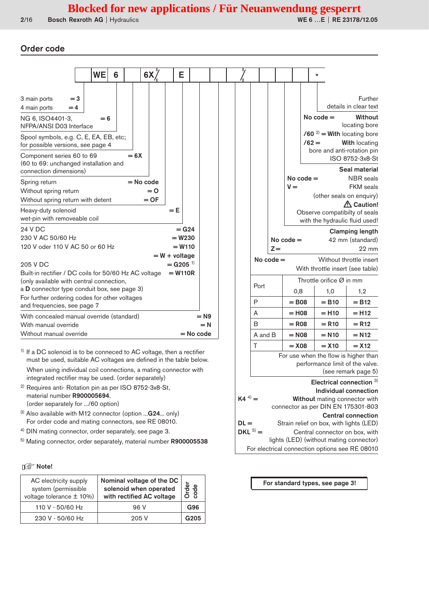#### Order code

|                                                                              | WE    | 6 |        | 6X          | E                                         |             |  |         |             |             |                     | $\star$                                                         |                                   |
|------------------------------------------------------------------------------|-------|---|--------|-------------|-------------------------------------------|-------------|--|---------|-------------|-------------|---------------------|-----------------------------------------------------------------|-----------------------------------|
| 3 main ports<br>$=$ 3                                                        |       |   |        |             |                                           |             |  |         |             |             |                     |                                                                 | Further                           |
| 4 main ports<br>$=4$                                                         |       |   |        |             |                                           |             |  |         |             |             |                     |                                                                 | details in clear text             |
| NG 6, ISO4401-3,<br>NFPA/ANSI D03 Interface                                  | $= 6$ |   |        |             |                                           |             |  |         |             |             |                     | No $code =$                                                     | Without<br>locating bore          |
| Spool symbols, e.g. C, E, EA, EB, etc;<br>for possible versions, see page 4  |       |   |        |             |                                           |             |  |         |             |             |                     | $/60^{2}$ = With locating bore<br>$/62 =$                       | <b>With locating</b>              |
| Component series 60 to 69<br>(60 to 69: unchanged installation and           |       |   | $= 6X$ |             |                                           |             |  |         |             |             |                     | bore and anti-rotation pin                                      | ISO 8752-3x8-St                   |
| connection dimensions)                                                       |       |   |        |             |                                           |             |  |         |             |             | $No code =$         |                                                                 | Seal material<br><b>NBR</b> seals |
| Spring return                                                                |       |   |        | $=$ No code |                                           |             |  |         |             | $V =$       |                     |                                                                 | <b>FKM</b> seals                  |
| Without spring return                                                        |       |   |        | $= 0$       |                                           |             |  |         |             |             |                     |                                                                 | (other seals on enquiry)          |
| Without spring return with detent                                            |       |   |        | $=$ OF      |                                           |             |  |         |             |             |                     |                                                                 | $\triangle$ Caution!              |
| Heavy-duty solenoid<br>wet-pin with removeable coil                          |       |   |        |             | $= E$                                     |             |  |         |             |             |                     | Observe compatibilty of seals<br>with the hydraulic fluid used! |                                   |
| 24 V DC                                                                      |       |   |        |             | $=$ G <sub>24</sub>                       |             |  |         |             |             |                     |                                                                 | <b>Clamping length</b>            |
| 230 V AC 50/60 Hz                                                            |       |   |        |             | $= W230$                                  |             |  |         |             | No code $=$ |                     |                                                                 | 42 mm (standard)                  |
| 120 V oder 110 V AC 50 or 60 Hz                                              |       |   |        |             | $= W110$                                  |             |  |         | $Z =$       |             |                     |                                                                 | $22 \text{ mm}$                   |
| 205 V DC                                                                     |       |   |        |             | $= W + voltage$<br>$=$ G205 <sup>1)</sup> |             |  |         | No $code =$ |             |                     |                                                                 | Without throttle insert           |
| Built-in rectifier / DC coils for 50/60 Hz AC voltage                        |       |   |        |             | $= W110R$                                 |             |  |         |             |             |                     | With throttle insert (see table)                                |                                   |
| (only available with central connection,                                     |       |   |        |             |                                           |             |  |         |             |             |                     | Throttle orifice $\varnothing$ in mm                            |                                   |
| a D connector type conduit box, see page 3)                                  |       |   |        |             |                                           |             |  | Port    |             |             | 0,8                 | 1,0                                                             | 1,2                               |
| For further ordering codes for other voltages<br>and frequencies, see page 7 |       |   |        |             |                                           |             |  | P       |             |             | $=$ B <sub>08</sub> | $= B10$                                                         | $= B12$                           |
| With concealed manual override (standard)                                    |       |   |        |             |                                           | $= N9$      |  | A       |             |             | $=$ H <sub>08</sub> | $=$ H <sub>10</sub>                                             | $=$ H <sub>12</sub>               |
| With manual override                                                         |       |   |        |             |                                           | $= N$       |  | B       |             |             | $=$ R <sub>08</sub> | $= R10$                                                         | $= R12$                           |
| Without manual override                                                      |       |   |        |             |                                           | $=$ No code |  | A and B |             |             | $= N08$             | $= N10$                                                         | $= N12$                           |
|                                                                              |       |   |        |             |                                           |             |  | Τ       |             |             | $=$ X <sub>08</sub> | $= X10$                                                         | $=$ X <sub>12</sub>               |

 $1)$  If a DC solenoid is to be conneced to AC voltage, then a rectifier must be used, suitable AC voltages are defined in the table below. When using individual coil connections, a mating connector with integrated rectifier may be used. (order separately)

- 2) Requires anti- Rotation pin as per ISO 8752-3x8-St, material number R900005694. (order separately for .../60 option)
- <sup>3)</sup> Also available with M12 connector (option ... G24... only) For order code and mating connectors, see RE 08010.
- 4) DIN mating connector, order separately, see page 3.
- 5) Mating connector, order separately, material number R900005538

#### **Ing Note!**

| AC electricity supply<br>system (permissible<br>voltage tolerance $\pm$ 10%) | Nominal voltage of the DC<br>solenoid when operated<br>with rectified AC voltage | Φ<br>Orde<br>code |
|------------------------------------------------------------------------------|----------------------------------------------------------------------------------|-------------------|
| 110 V - 50/60 Hz                                                             | 96 V                                                                             | <b>G96</b>        |
| 230 V - 50/60 Hz                                                             | 205V                                                                             | G <sub>205</sub>  |

Throttle orifice Ø in mm 0,8 1,0 1,2  $\begin{array}{|c|c|c|c|c|c|}\n\hline\n\text{P} & \text{ } & = \text{B08} & = \text{B10} & = \text{B12}\n\end{array}$ A = H08 = H10 = H12  $\begin{array}{|c|c|c|c|c|c|}\n\hline\n\text{B} & = \text{R08} & = \text{R10} & = \text{R12}\n\end{array}$ **N12**  $T$  = X08 = X10 = X12 For use when the flow is higher than performance limit of the valve. (see remark page 5) Electrical connection 3) Individual connection<br>  $\mathsf{K4}^{(4)} = \mathsf{Without}\ \mathsf{mating}\ \mathsf{connector}\ \mathsf{with}$ Without mating connector with connector as per DIN EN 175301-803 **Central connection**<br>DL = Strain relief on box, with lights (LED) Strain relief on box, with lights (LED)  $DKL<sup>5</sup>$  = Central connector on box, with lights (LED) (without mating connector) For electrical connection options see RE 08010

For standard types, see page 3!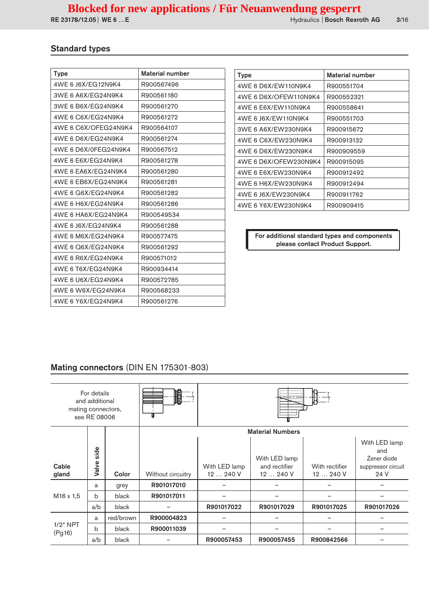# Standard types

| <b>Type</b>          | Material number |
|----------------------|-----------------|
| 4WE 6 J6X/EG12N9K4   | R900567496      |
| 3WE 6 A6X/EG24N9K4   | R900561180      |
| 3WE 6 B6X/EG24N9K4   | R900561270      |
| 4WE 6 C6X/EG24N9K4   | R900561272      |
| 4WE 6 C6X/OFEG24N9K4 | R900564107      |
| 4WE 6 D6X/EG24N9K4   | R900561274      |
| 4WF 6 D6X/0FFG24N9K4 | R900567512      |
| 4WE 6 E6X/EG24N9K4   | R900561278      |
| 4WF 6 FA6X/FG24N9K4  | R900561280      |
| 4WE 6 EB6X/EG24N9K4  | R900561281      |
| 4WE 6 G6X/EG24N9K4   | R900561282      |
| 4WE 6 H6X/EG24N9K4   | R900561286      |
| 4WE 6 HA6X/EG24N9K4  | R900549534      |
| 4WE 6 J6X/EG24N9K4   | R900561288      |
| 4WF 6 M6X/FG24N9K4   | R900577475      |
| 4WE 6 Q6X/EG24N9K4   | R900561292      |
| 4WE 6 R6X/EG24N9K4   | R900571012      |
| 4WE 6 T6X/EG24N9K4   | R900934414      |
| 4WE 6 U6X/EG24N9K4   | R900572785      |
| 4WE 6 W6X/EG24N9K4   | R900568233      |
| 4WE 6 Y6X/EG24N9K4   | R900561276      |

| Type                  | Material number |
|-----------------------|-----------------|
| 4WF 6 D6X/FW110N9K4   | R900551704      |
| 4WE 6 D6X/OFEW110N9K4 | R900552321      |
| 4WF 6 F6X/FW110N9K4   | R900558641      |
| 4WE 6 J6X/EW110N9K4   | R900551703      |
| 3WF 6 A6X/FW230N9K4   | R900915672      |
| 4WF 6 C6X/FW230N9K4   | R900913132      |
| 4WF 6 D6X/FW230N9K4   | R900909559      |
| 4WF 6 D6X/OFFW230N9K4 | R900915095      |
| 4WE 6 E6X/EW230N9K4   | R900912492      |
| 4WE 6 H6X/EW230N9K4   | R900912494      |
| 4WE 6 J6X/EW230N9K4   | R900911762      |
| 4WE 6 Y6X/EW230N9K4   | R900909415      |

For additional standard types and components please contact Product Support.

# Mating connectors (DIN EN 175301-803)

| mating connectors,    | For details<br>and additional<br>see RE 08006 |           | 順                 |                            |                                          |                          |                                                                   |  |
|-----------------------|-----------------------------------------------|-----------|-------------------|----------------------------|------------------------------------------|--------------------------|-------------------------------------------------------------------|--|
|                       |                                               |           |                   | <b>Material Numbers</b>    |                                          |                          |                                                                   |  |
| Cable<br>gland        | side<br>Valve                                 | Color     | Without circuitry | With LED lamp<br>12  240 V | With LED lamp<br>and rectifier<br>12240V | With rectifier<br>12240V | With LED lamp<br>and<br>Zener diode<br>suppressor circuit<br>24 V |  |
|                       | a                                             | grey      | R901017010        |                            |                                          |                          |                                                                   |  |
| M <sub>16</sub> x 1,5 | $\mathbf b$                                   | black     | R901017011        |                            |                                          |                          |                                                                   |  |
|                       | a/b                                           | black     |                   | R901017022                 | R901017029                               | R901017025               | R901017026                                                        |  |
|                       | a                                             | red/brown | R900004823        |                            |                                          |                          |                                                                   |  |
| $1/2$ " NPT<br>(Pg16) | b                                             | black     | R900011039        |                            |                                          |                          |                                                                   |  |
|                       | a/b                                           | black     |                   | R900057453                 | R900057455                               | R900842566               |                                                                   |  |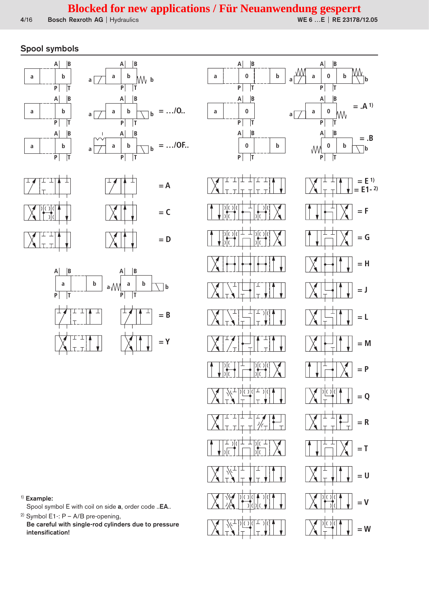**= L**

**= E 1) = E1- 2)**

**= .B**

**= F**

**= G**

**= H**

**= J**

**= M**

**= P**

**= R**

**= Q**

**= T**

**= U**

**= V**

**= W**

## Spool symbols











#### 1) Example:

Spool symbol E with coil on side a, order code ..EA..

<sup>2)</sup> Symbol E1 -:  $P - A/B$  pre-opening, Be careful with single-rod cylinders due to pressure intensification!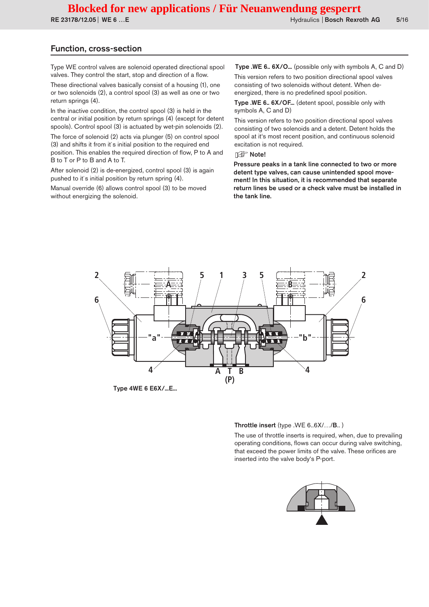RE 23178/12.05 | WE 6 ...E **http://www.fractionality.com/second-filest-activities Bosch Rexroth AG** 5/16

#### Function, cross-section

Type WE control valves are solenoid operated directional spool valves. They control the start, stop and direction of a flow.

These directional valves basically consist of a housing (1), one or two solenoids (2), a control spool (3) as well as one or two return springs (4).

In the inactive condition, the control spool (3) is held in the central or initial position by return springs (4) (except for detent spools). Control spool (3) is actuated by wet-pin solenoids (2).

The force of solenoid (2) acts via plunger (5) on control spool (3) and shifts it from it´s initial position to the required end position. This enables the required direction of flow, P to A and B to T or P to B and A to T.

After solenoid (2) is de-energized, control spool (3) is again pushed to it´s initial position by return spring (4).

Manual override (6) allows control spool (3) to be moved without energizing the solenoid.

Type .WE 6.. 6X/O... (possible only with symbols A, C and D) This version refers to two position directional spool valves consisting of two solenoids without detent. When deenergized, there is no predefined spool position.

Type .WE 6.. 6X/OF... (detent spool, possible only with symbols A, C and D)

This version refers to two position directional spool valves consisting of two solenoids and a detent. Detent holds the spool at it's most recent position, and continuous solenoid excitation is not required.

#### **Inder** Note!

Pressure peaks in a tank line connected to two or more detent type valves, can cause unintended spool movement! In this situation, it is recommended that separate return lines be used or a check valve must be installed in the tank line.



#### Throttle insert (type .WE 6..6X/…/B.. )

The use of throttle inserts is required, when, due to prevailing operating conditions, flows can occur during valve switching, that exceed the power limits of the valve. These orifices are inserted into the valve body's P-port.

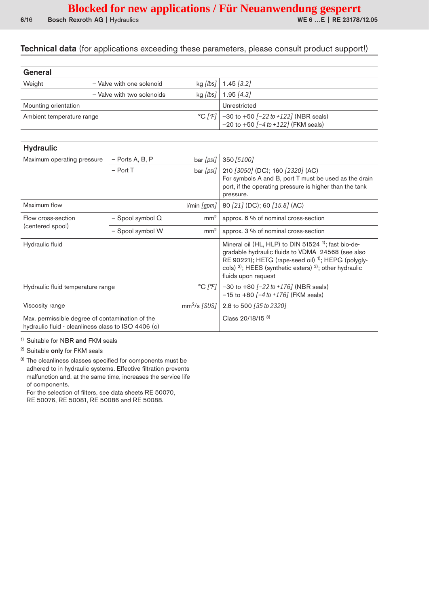## Technical data (for applications exceeding these parameters, please consult product support!)

| General                   |                            |            |                                                                                                             |
|---------------------------|----------------------------|------------|-------------------------------------------------------------------------------------------------------------|
| Weight                    | - Valve with one solenoid  |            | kg [ <i>lbs</i> ]   1.45 [3.2]                                                                              |
|                           | - Valve with two solenoids | $kg$ [lbs] | $1.95$ [4.3]                                                                                                |
| Mounting orientation      |                            |            | Unrestricted                                                                                                |
| Ambient temperature range |                            |            | °C $[°F]$ -30 to +50 $[-22 \text{ to } +122]$ (NBR seals)<br>-20 to +50 $[-4 \text{ to } +122]$ (FKM seals) |

| <b>Hydraulic</b>                                                                                       |                   |                 |                                                                                                                                                                                                                                                                                  |
|--------------------------------------------------------------------------------------------------------|-------------------|-----------------|----------------------------------------------------------------------------------------------------------------------------------------------------------------------------------------------------------------------------------------------------------------------------------|
| Maximum operating pressure                                                                             | $-$ Ports A, B, P | bar [psi]       | 350 [5100]                                                                                                                                                                                                                                                                       |
|                                                                                                        | $-$ Port T        | bar [psi]       | 210 [3050] (DC); 160 [2320] (AC)<br>For symbols A and B, port T must be used as the drain<br>port, if the operating pressure is higher than the tank<br>pressure.                                                                                                                |
| Maximum flow                                                                                           |                   | l/min [gpm]     | 80 [21] (DC); 60 [15.8] (AC)                                                                                                                                                                                                                                                     |
| Flow cross-section                                                                                     | - Spool symbol Q  | mm <sup>2</sup> | approx. 6 % of nominal cross-section                                                                                                                                                                                                                                             |
| (centered spool)                                                                                       | - Spool symbol W  | mm <sup>2</sup> | approx. 3 % of nominal cross-section                                                                                                                                                                                                                                             |
| Hydraulic fluid                                                                                        |                   |                 | Mineral oil (HL, HLP) to DIN 51524 <sup>1)</sup> ; fast bio-de-<br>gradable hydraulic fluids to VDMA 24568 (see also<br>RE 90221); HETG (rape-seed oil) <sup>1)</sup> ; HEPG (polygly-<br>cols) $^{2}$ ; HEES (synthetic esters) $^{2}$ ; other hydraulic<br>fluids upon request |
| Hydraulic fluid temperature range                                                                      |                   | °C [°F]         | $-30$ to $+80$ $[-22$ to $+176$ ] (NBR seals)<br>$-15$ to $+80$ $[-4$ to $+176]$ (FKM seals)                                                                                                                                                                                     |
| Viscosity range                                                                                        |                   | $mm2/s$ [SUS]   | 2,8 to 500 [35 to 2320]                                                                                                                                                                                                                                                          |
| Max. permissible degree of contamination of the<br>hydraulic fluid - cleanliness class to ISO 4406 (c) |                   |                 | Class 20/18/15 3)                                                                                                                                                                                                                                                                |

1) Suitable for NBR and FKM seals

<sup>2)</sup> Suitable only for FKM seals

3) The cleanliness classes specified for components must be adhered to in hydraulic systems. Effective filtration prevents malfunction and, at the same time, increases the service life of components.

For the selection of filters, see data sheets RE 50070,

RE 50076, RE 50081, RE 50086 and RE 50088.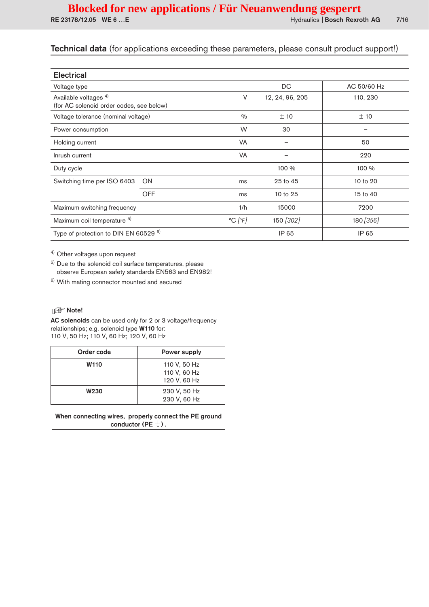| <b>Electrical</b>                                                            |            |                              |                 |             |  |
|------------------------------------------------------------------------------|------------|------------------------------|-----------------|-------------|--|
| Voltage type                                                                 |            |                              | DC              | AC 50/60 Hz |  |
| Available voltages <sup>4)</sup><br>(for AC solenoid order codes, see below) |            | V                            | 12, 24, 96, 205 | 110, 230    |  |
| Voltage tolerance (nominal voltage)                                          |            | 0/0                          | ±10             | ±10         |  |
| Power consumption                                                            |            | W                            | 30              |             |  |
| Holding current                                                              |            | <b>VA</b>                    |                 | 50          |  |
| Inrush current                                                               |            | <b>VA</b>                    |                 | 220         |  |
| Duty cycle                                                                   |            |                              | 100 %           | 100 %       |  |
| Switching time per ISO 6403                                                  | ON         | ms                           | 25 to 45        | 10 to 20    |  |
|                                                                              | <b>OFF</b> | ms                           | 10 to 25        | 15 to 40    |  |
| Maximum switching frequency                                                  |            | 1/h                          | 15000           | 7200        |  |
| Maximum coil temperature 5)                                                  |            | $^{\circ}$ C [ $^{\circ}$ F] | 150 [302]       | 180 [356]   |  |
| Type of protection to DIN EN 60529 6)                                        |            |                              | IP 65           | IP 65       |  |

4) Other voltages upon request

5) Due to the solenoid coil surface temperatures, please observe European safety standards EN563 and EN982!

6) With mating connector mounted and secured

#### **I**f<sup></sup> Note!

AC solenoids can be used only for 2 or 3 voltage/frequency relationships; e.g. solenoid type W110 for: 110 V, 50 Hz; 110 V, 60 Hz; 120 V, 60 Hz

| Order code  | Power supply                                 |
|-------------|----------------------------------------------|
| <b>W110</b> | 110 V, 50 Hz<br>110 V, 60 Hz<br>120 V, 60 Hz |
| <b>W230</b> | 230 V, 50 Hz<br>230 V, 60 Hz                 |

When connecting wires, properly connect the PE ground conductor (PE  $\frac{1}{2}$ ).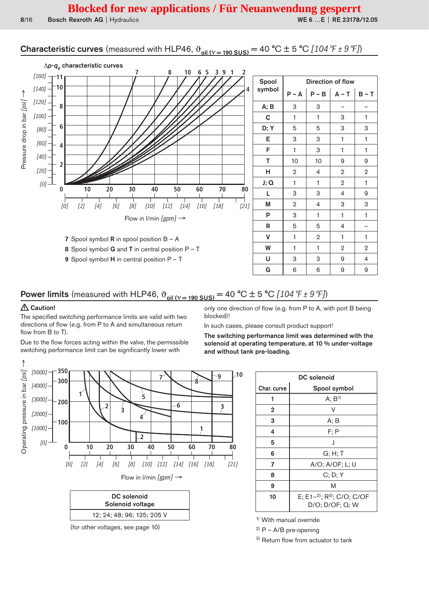# **Characteristic curves** (measured with HLP46,  $\vartheta_{\text{oil (V = 190 SUS)}} = 40 \degree \text{C} \pm 5 \degree \text{C}$  [104  $\degree \text{F} \pm 9 \degree \text{F}$ ])



# **Power limits** (measured with HLP46,  $\vartheta_{\text{oil (V = 190 SUS)}} = 40 \degree \text{C} \pm 5 \degree \text{C}$  [104 °F ± 9 °F])

#### $\triangle$  Caution!

The specified switching performance limits are valid with two directions of flow (e.g. from P to A and simultaneous return flow from B to T).

Due to the flow forces acting within the valve, the permissible switching performance limit can be significantly lower with

only one direction of flow (e.g. from P to A, with port B being blocked)!

In such cases, please consult product support!

The switching performance limit was determined with the solenoid at operating temperature, at 10 % under-voltage and without tank pre-loading.



(for other voltages, see page 10)

DC solenoid Char. curve Spool symbol  $A; B<sup>1</sup>$  $\mathbf{1}$  $\mathsf{V}$  $\overline{2}$ 3  $A; B$  $\overline{\mathbf{A}}$  $F: P$ J  $5\phantom{.0}$  $6\phantom{a}$  $G: H: T$  $\overline{7}$ A/O; A/OF; L; U 8  $C; D; Y$  $\overline{9}$ M E; E1-2); R3); C/O; C/OF  $10$ D/O; D/OF; Q; W

<sup>1)</sup> With manual override

 $^{2)}$  P – A/B pre-opening

<sup>3)</sup> Return flow from actuator to tank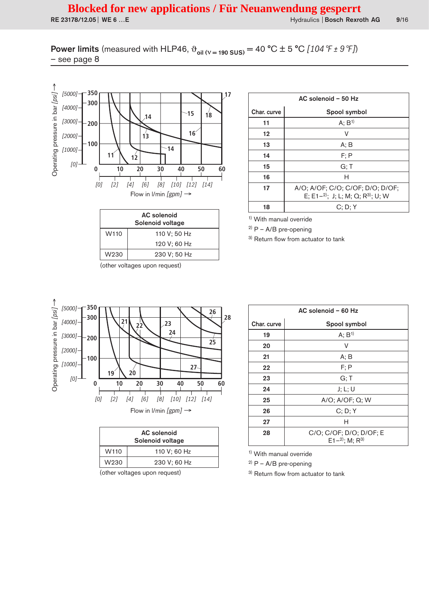**Power limits** (measured with HLP46,  $\vartheta_{\text{oil (V = 190 SUS)}} = 40 \degree C \pm 5 \degree C$  [104 °F ± 9 °F])  $-$  see page  $8$ 



| <b>AC</b> solenoid<br>Solenoid voltage |              |  |  |  |  |
|----------------------------------------|--------------|--|--|--|--|
| W <sub>110</sub>                       | 110 V; 50 Hz |  |  |  |  |
|                                        | 120 V; 60 Hz |  |  |  |  |
| W230                                   | 230 V; 50 Hz |  |  |  |  |

(other voltages upon request)

| AC solenoid - 50 Hz |                                                                                  |  |  |
|---------------------|----------------------------------------------------------------------------------|--|--|
| Char. curve         | Spool symbol                                                                     |  |  |
| 11                  | A; B <sup>1</sup>                                                                |  |  |
| 12                  | v                                                                                |  |  |
| 13                  | A: B                                                                             |  |  |
| 14                  | F: P                                                                             |  |  |
| 15                  | G: T                                                                             |  |  |
| 16                  | Н                                                                                |  |  |
| 17                  | A/O; A/OF; C/O; C/OF; D/O; D/OF;<br>E; E1-2); J; L; M; Q; R <sup>3)</sup> ; U; W |  |  |
| 18                  | C; D; Y                                                                          |  |  |

 $9/16$ 

<sup>1)</sup> With manual override

 $2)$  P - A/B pre-opening

<sup>3)</sup> Return flow from actuator to tank



| <b>AC</b> solenoid<br>Solenoid voltage |              |
|----------------------------------------|--------------|
| W <sub>110</sub>                       | 110 V; 60 Hz |
| W <sub>230</sub>                       | 230 V; 60 Hz |
|                                        |              |

(other voltages upon request)

| AC solenoid - 60 Hz |                                                         |  |
|---------------------|---------------------------------------------------------|--|
| Char. curve         | Spool symbol                                            |  |
| 19                  | A; B <sup>1</sup>                                       |  |
| 20                  | V                                                       |  |
| 21                  | A; B                                                    |  |
| 22                  | F: P                                                    |  |
| 23                  | G; T                                                    |  |
| 24                  | J; L; U                                                 |  |
| 25                  | A/O; A/OF; Q; W                                         |  |
| 26                  | C; D; Y                                                 |  |
| 27                  | н                                                       |  |
| 28                  | C/O; C/OF; D/O; D/OF; E<br>E1 $-2$ : M; R <sup>3)</sup> |  |

<sup>1)</sup> With manual override

<sup>2)</sup>  $P - A/B$  pre-opening

<sup>3)</sup> Return flow from actuator to tank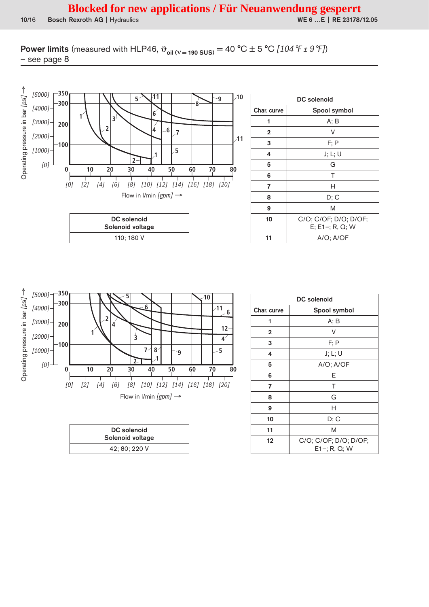**Power limits** (measured with HLP46,  $\vartheta_{\text{oil (V = 190 SUS)}} = 40 \degree C \pm 5 \degree C$  [104 °F ± 9 °F])  $-$  see page  $8$ 



| DC solenoid    |                                             |  |  |  |
|----------------|---------------------------------------------|--|--|--|
| Char. curve    | Spool symbol                                |  |  |  |
|                | A; B                                        |  |  |  |
| $\mathbf{2}$   | v                                           |  |  |  |
| 3              | F; P                                        |  |  |  |
| 4              | J; L; U                                     |  |  |  |
| 5              | G                                           |  |  |  |
| 6              | т                                           |  |  |  |
| $\overline{7}$ | н                                           |  |  |  |
| 8              | D; C                                        |  |  |  |
| 9              | M                                           |  |  |  |
| 10             | C/O; C/OF; D/O; D/OF;<br>$E$ ; E1-; R, Q; W |  |  |  |
| 11             | A/O: A/OF                                   |  |  |  |



| DC solenoid      |  |
|------------------|--|
| Solenoid voltage |  |
| 42; 80; 220 V    |  |

| <b>DC</b> solenoid |                                          |  |
|--------------------|------------------------------------------|--|
| Char. curve        | Spool symbol                             |  |
| 1                  | A; B                                     |  |
| $\mathbf 2$        | v                                        |  |
| 3                  | $F$ : P                                  |  |
| 4                  | J; L; U                                  |  |
| 5                  | $A/O$ ; $A/OF$                           |  |
| 6                  | Е                                        |  |
| 7                  | Τ                                        |  |
| 8                  | G                                        |  |
| 9                  | Н                                        |  |
| 10                 | D; C                                     |  |
| 11                 | M                                        |  |
| 12                 | C/O; C/OF; D/O; D/OF;<br>$E1 -; R, Q; W$ |  |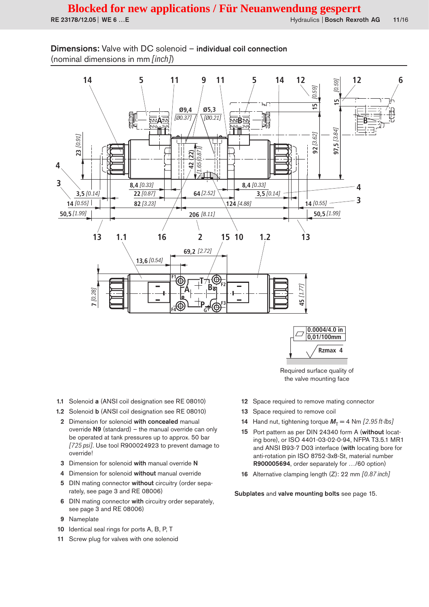Hydraulics | Bosch Rexroth AG  $11/16$ 

## Dimensions: Valve with DC solenoid - individual coil connection (nominal dimensions in mm [inch])



 $0,01/100$ mm Rzmax 4

Required surface quality of the valve mounting face

- 1.1 Solenoid a (ANSI coil designation see RE 08010)
- 1.2 Solenoid b (ANSI coil designation see RE 08010)
- 2 Dimension for solenoid with concealed manual override N9 (standard) - the manual override can only be operated at tank pressures up to approx. 50 bar [725 psi]. Use tool R900024923 to prevent damage to override!
- 3 Dimension for solenoid with manual override N
- 4 Dimension for solenoid without manual override
- 5 DIN mating connector without circuitry (order separately, see page 3 and RE 08006)
- 6 DIN mating connector with circuitry order separately, see page 3 and RE 08006)
- Nameplate 9
- 10 Identical seal rings for ports A, B, P, T
- 11 Screw plug for valves with one solenoid
- 12 Space required to remove mating connector
- Space required to remove coil 13
- 14 Hand nut, tightening torque  $M_T = 4$  Nm [2.95 ft-lbs]
- 15 Port pattern as per DIN 24340 form A (without locating bore), or ISO 4401-03-02-0-94, NFPA T3.5.1 MR1 and ANSI B93-7 D03 interface (with locating bore for anti-rotation pin ISO 8752-3x8-St, material number R900005694, order separately for .../60 option)
- 16 Alternative clamping length (Z): 22 mm [0.87 inch]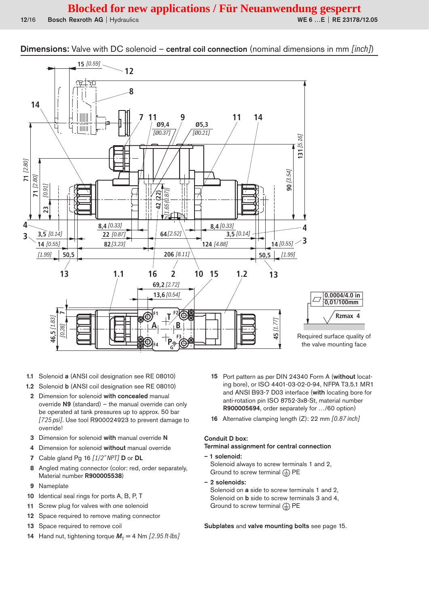**Dimensions:** Valve with DC solenoid – central coil connection (nominal dimensions in mm [inch])



- 1.1 Solenoid a (ANSI coil designation see RE 08010)
- 1.2 Solenoid b (ANSI coil designation see RE 08010)
- 2 Dimension for solenoid with concealed manual override  $N9$  (standard) – the manual override can only be operated at tank pressures up to approx. 50 bar [725 psi]. Use tool R900024923 to prevent damage to override!
- 3 Dimension for solenoid with manual override N
- 4 Dimension for solenoid without manual override
- 7 Cable gland Pg 16 [1/2" NPT] D or DL
- Angled mating connector (color: red, order separately, 8 Material number R900005538)
- $9$ Nameplate
- Identical seal rings for ports A, B, P, T  $10$
- Screw plug for valves with one solenoid  $11$
- Space required to remove mating connector  $12$
- Space required to remove coil  $13$
- 14 Hand nut, tightening torque  $M<sub>r</sub> = 4$  Nm [2.95 ft-lbs]
- 15 Port pattern as per DIN 24340 Form A (without locating bore), or ISO 4401-03-02-0-94, NFPA T3.5.1 MR1 and ANSI B93-7 D03 interface (with locating bore for anti-rotation pin ISO 8752-3x8-St, material number R900005694, order separately for .../60 option)
- 16 Alternative clamping length (Z): 22 mm [0.87 inch]

#### **Conduit D box:**

#### Terminal assignment for central connection

- 1 solenoid: Solenoid always to screw terminals 1 and 2, Ground to screw terminal  $\left(\frac{\Gamma}{\epsilon}\right)$  PE
- 2 solenoids: Solenoid on a side to screw terminals 1 and 2, Solenoid on b side to screw terminals 3 and 4, Ground to screw terminal  $(1)$  PE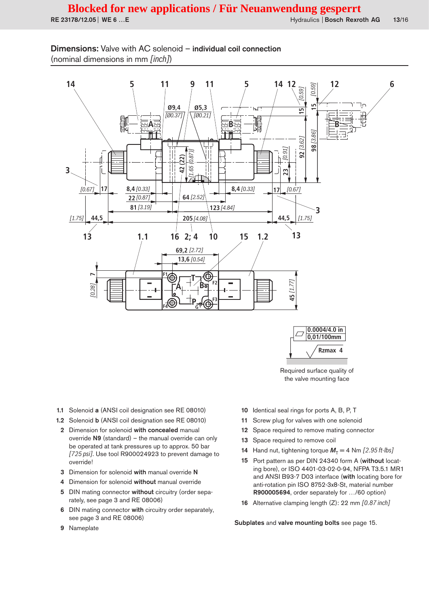Dimensions: Valve with AC solenoid - individual coil connection (nominal dimensions in mm [inch])

RE 23178/12.05 | WE 6 ... E





Required surface quality of the valve mounting face

- 1.1 Solenoid a (ANSI coil designation see RE 08010)
- 1.2 Solenoid b (ANSI coil designation see RE 08010)
- 2 Dimension for solenoid with concealed manual override N9 (standard) - the manual override can only be operated at tank pressures up to approx. 50 bar [725 psi]. Use tool R900024923 to prevent damage to override!
- 3 Dimension for solenoid with manual override N
- 4 Dimension for solenoid without manual override
- 5 DIN mating connector without circuitry (order separately, see page 3 and RE 08006)
- 6 DIN mating connector with circuitry order separately, see page 3 and RE 08006)
- 9 Nameplate
- 10 Identical seal rings for ports A, B, P, T
- Screw plug for valves with one solenoid  $11$
- 12 Space required to remove mating connector
- Space required to remove coil  $13$
- Hand nut, tightening torque  $M<sub>r</sub> = 4$  Nm [2.95 ft-lbs]  $14$
- Port pattern as per DIN 24340 form A (without locat-15 ing bore), or ISO 4401-03-02-0-94, NFPA T3.5.1 MR1 and ANSI B93-7 D03 interface (with locating bore for anti-rotation pin ISO 8752-3x8-St, material number R900005694, order separately for .../60 option)
- 16 Alternative clamping length (Z): 22 mm [0.87 inch]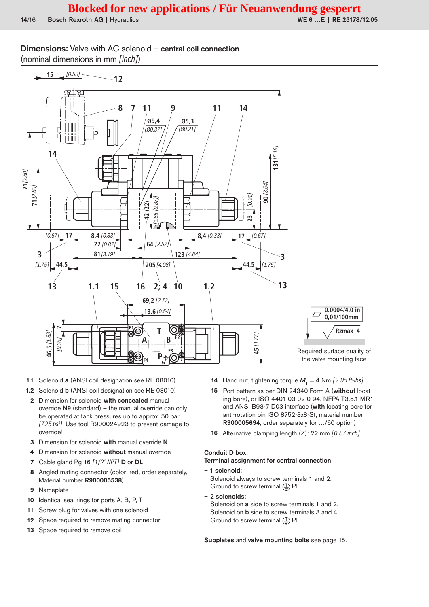WE 6 ... E | RE 23178/12.05

## **Dimensions:** Valve with AC solenoid - central coil connection (nominal dimensions in mm [inch])



- 1.1 Solenoid a (ANSI coil designation see RE 08010)
- 1.2 Solenoid b (ANSI coil designation see RE 08010)
- 2 Dimension for solenoid with concealed manual override N9 (standard) - the manual override can only be operated at tank pressures up to approx. 50 bar [725 psi]. Use tool R900024923 to prevent damage to override
- 3 Dimension for solenoid with manual override N
- 4 Dimension for solenoid without manual override
- 7 Cable gland Pg 16  $[1/2$ " NPT $]$  D or DL
- Angled mating connector (color: red, order separately, 8 Material number R900005538)
- 9 Nameplate
- Identical seal rings for ports A, B, P, T  $10$
- $11$ Screw plug for valves with one solenoid
- 12 Space required to remove mating connector
- 13 Space required to remove coil
- 14 Hand nut, tightening torque  $M_T = 4$  Nm [2.95 ft-lbs]
- 15 Port pattern as per DIN 24340 Form A (without locating bore), or ISO 4401-03-02-0-94, NFPA T3.5.1 MR1 and ANSI B93-7 D03 interface (with locating bore for anti-rotation pin ISO 8752-3x8-St, material number R900005694, order separately for .../60 option)
- 16 Alternative clamping length (Z): 22 mm [0.87 inch]

# **Conduit D box:**

Terminal assignment for central connection

- 1 solenoid: Solenoid always to screw terminals 1 and 2, Ground to screw terminal  $(1)$  PE
- 2 solenoids: Solenoid on a side to screw terminals 1 and 2. Solenoid on b side to screw terminals 3 and 4, Ground to screw terminal  $\textcircled{\tiny{\perp}}$  PE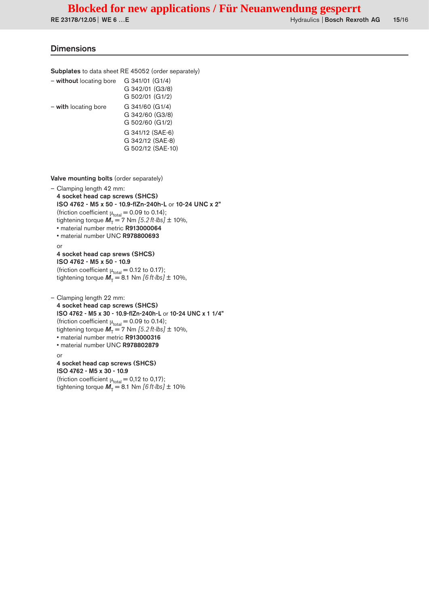RE 23178/12.05 | WE 6 ...E **No. 2018** | Hydraulics | Bosch Rexroth AG 15/16

#### **Dimensions**

or

Subplates to data sheet RE 45052 (order separately)

| - without locating bore | G 341/01 (G1/4)   |
|-------------------------|-------------------|
|                         | G 342/01 (G3/8)   |
|                         | G 502/01 (G1/2)   |
| - with locating bore    | G 341/60 (G1/4)   |
|                         | G 342/60 (G3/8)   |
|                         | G 502/60 (G1/2)   |
|                         | G 341/12 (SAE-6)  |
|                         | G 342/12 (SAE-8)  |
|                         | G 502/12 (SAE-10) |
|                         |                   |

Valve mounting bolts (order separately)

4 socket head cap screws (SHCS)

(friction coefficient  $\mu_{\text{total}} = 0.12$  to 0.17); tightening torque  $\vec{M}_T = 8.1$  Nm  $[6 \text{ ft-lbs}] \pm 10\%$ 

ISO 4762 - M5 x 30 - 10.9

– Clamping length 42 mm: 4 socket head cap screws (SHCS) ISO 4762 - M5 x 50 - 10.9-flZn-240h-L or 10-24 UNC x 2" (friction coefficient  $\mu_{\text{total}} = 0.09$  to 0.14); tightening torque  $\vec{M}_T = 7$  Nm  $[5.2$  ft-lbs]  $\pm$  10%, • material number metric R913000064 • material number UNC R978800693 or 4 socket head cap srews (SHCS) ISO 4762 - M5 x 50 - 10.9 (friction coefficient  $\mu_{\text{total}} = 0.12$  to 0.17); tightening torque  $\vec{M}_T = 8.1$  Nm  $[6 \text{ ft-lbs}] \pm 10\%$ , – Clamping length 22 mm: 4 socket head cap screws (SHCS) ISO 4762 - M5 x 30 - 10.9-flZn-240h-L or 10-24 UNC x 1 1/4" (friction coefficient  $\mu_{\text{total}} = 0.09$  to 0.14); tightening torque  $\mathbf{M}_T = 7$  Nm  $[5.2$  ft-lbs]  $\pm$  10%, • material number metric R913000316 • material number UNC R978802879